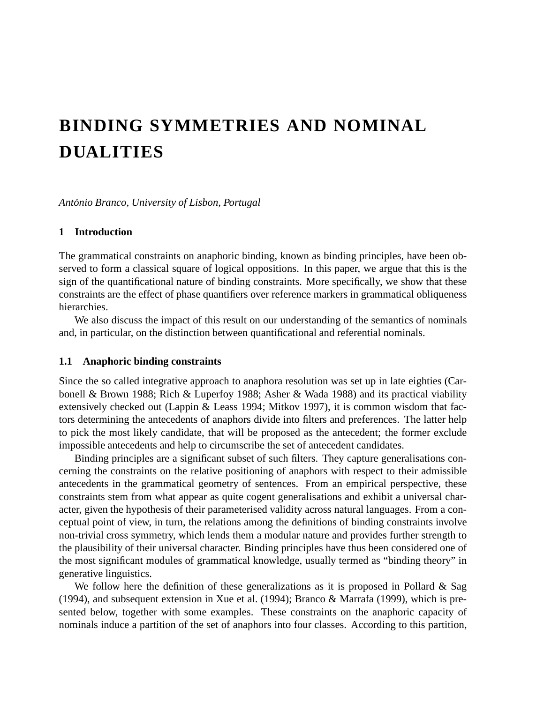# **BINDING SYMMETRIES AND NOMINAL DUALITIES**

*Antonio Branco, University of Lisbon, Portugal ´*

#### **1 Introduction**

The grammatical constraints on anaphoric binding, known as binding principles, have been observed to form a classical square of logical oppositions. In this paper, we argue that this is the sign of the quantificational nature of binding constraints. More specifically, we show that these constraints are the effect of phase quantifiers over reference markers in grammatical obliqueness hierarchies.

We also discuss the impact of this result on our understanding of the semantics of nominals and, in particular, on the distinction between quantificational and referential nominals.

# **1.1 Anaphoric binding constraints**

Since the so called integrative approach to anaphora resolution was set up in late eighties (Carbonell & Brown 1988; Rich & Luperfoy 1988; Asher & Wada 1988) and its practical viability extensively checked out (Lappin & Leass 1994; Mitkov 1997), it is common wisdom that factors determining the antecedents of anaphors divide into filters and preferences. The latter help to pick the most likely candidate, that will be proposed as the antecedent; the former exclude impossible antecedents and help to circumscribe the set of antecedent candidates.

Binding principles are a significant subset of such filters. They capture generalisations concerning the constraints on the relative positioning of anaphors with respect to their admissible antecedents in the grammatical geometry of sentences. From an empirical perspective, these constraints stem from what appear as quite cogent generalisations and exhibit a universal character, given the hypothesis of their parameterised validity across natural languages. From a conceptual point of view, in turn, the relations among the definitions of binding constraints involve non-trivial cross symmetry, which lends them a modular nature and provides further strength to the plausibility of their universal character. Binding principles have thus been considered one of the most significant modules of grammatical knowledge, usually termed as "binding theory" in generative linguistics.

We follow here the definition of these generalizations as it is proposed in Pollard  $\&$  Sag (1994), and subsequent extension in Xue et al. (1994); Branco & Marrafa (1999), which is presented below, together with some examples. These constraints on the anaphoric capacity of nominals induce a partition of the set of anaphors into four classes. According to this partition,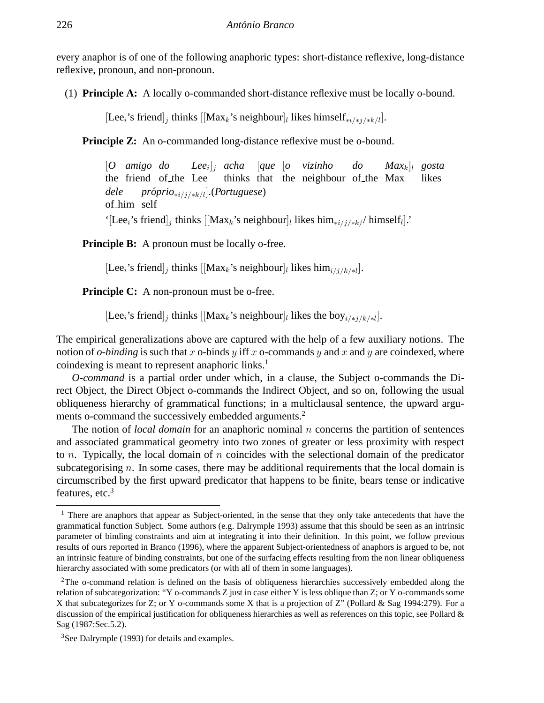every anaphor is of one of the following anaphoric types: short-distance reflexive, long-distance reflexive, pronoun, and non-pronoun.

(1) **Principle A:** A locally o-commanded short-distance reflexive must be locally o-bound.

[Lee<sub>i</sub>'s friend]<sub>j</sub> thinks [[Max<sub>k</sub>'s neighbour]<sub>l</sub> likes himself<sub>\*i/\*j/\*k/l</sub>].

**Principle Z:** An o-commanded long-distance reflexive must be o-bound.

[*O amigo do* the friend of the Lee *Lee*<sup>i</sup> ]j *acha* [*que* [*o vizinho* thinks that the neighbour of the Max *do Max*k]<sup>l</sup> *gosta* likes *dele* of him self *proprio ´* <sup>∗</sup>i/j/∗k/l]*.*(*Portuguese*) '[Lee<sub>i</sub>'s friend]<sub>j</sub> thinks [[Max<sub>k</sub>'s neighbour]<sub>l</sub> likes him<sub>\*i/j/\*k</sub>// himself<sub>l</sub>].'

**Principle B:** A pronoun must be locally o-free.

[Lee<sub>i</sub>'s friend]<sub>j</sub> thinks [[Max<sub>k</sub>'s neighbour]<sub>l</sub> likes him<sub>i/j/k/\*l</sub>].

**Principle C:** A non-pronoun must be o-free.

[Lee<sub>i</sub>'s friend]<sub>j</sub> thinks [[Max<sub>k</sub>'s neighbour]<sub>l</sub> likes the boy<sub>i/\*j/k/\*l</sub>].

The empirical generalizations above are captured with the help of a few auxiliary notions. The notion of *o-binding* is such that x o-binds y iff x o-commands y and x and y are coindexed, where coindexing is meant to represent anaphoric links.<sup>1</sup>

*O-command* is a partial order under which, in a clause, the Subject o-commands the Direct Object, the Direct Object o-commands the Indirect Object, and so on, following the usual obliqueness hierarchy of grammatical functions; in a multiclausal sentence, the upward arguments o-command the successively embedded arguments.<sup>2</sup>

The notion of *local domain* for an anaphoric nominal *n* concerns the partition of sentences and associated grammatical geometry into two zones of greater or less proximity with respect to n. Typically, the local domain of n coincides with the selectional domain of the predicator subcategorising  $n$ . In some cases, there may be additional requirements that the local domain is circumscribed by the first upward predicator that happens to be finite, bears tense or indicative features, etc.<sup>3</sup>

<sup>&</sup>lt;sup>1</sup> There are anaphors that appear as Subject-oriented, in the sense that they only take antecedents that have the grammatical function Subject. Some authors (e.g. Dalrymple 1993) assume that this should be seen as an intrinsic parameter of binding constraints and aim at integrating it into their definition. In this point, we follow previous results of ours reported in Branco (1996), where the apparent Subject-orientedness of anaphors is argued to be, not an intrinsic feature of binding constraints, but one of the surfacing effects resulting from the non linear obliqueness hierarchy associated with some predicators (or with all of them in some languages).

<sup>2</sup>The o-command relation is defined on the basis of obliqueness hierarchies successively embedded along the relation of subcategorization: "Y o-commands Z just in case either Y is less oblique than Z; or Y o-commands some X that subcategorizes for Z; or Y o-commands some X that is a projection of Z" (Pollard & Sag 1994:279). For a discussion of the empirical justification for obliqueness hierarchies as well as references on this topic, see Pollard & Sag (1987:Sec.5.2).

<sup>3</sup>See Dalrymple (1993) for details and examples.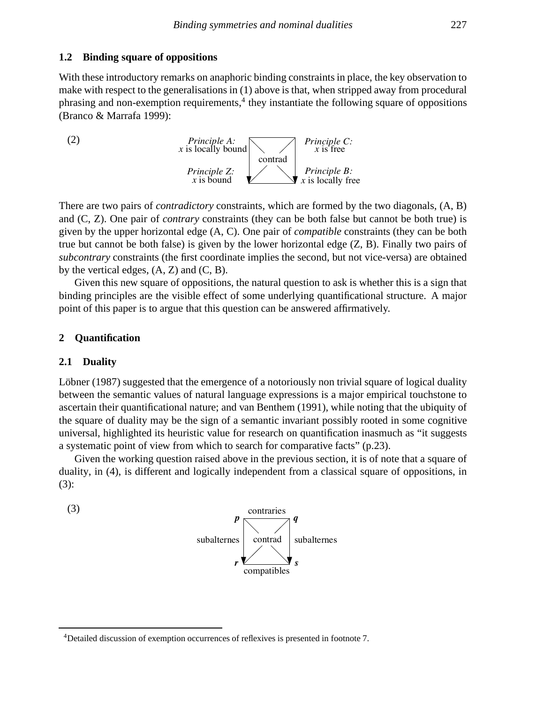## **1.2 Binding square of oppositions**

With these introductory remarks on anaphoric binding constraints in place, the key observation to make with respect to the generalisations in (1) above is that, when stripped away from procedural phrasing and non-exemption requirements,<sup>4</sup> they instantiate the following square of oppositions (Branco & Marrafa 1999):



There are two pairs of *contradictory* constraints, which are formed by the two diagonals, (A, B) and (C, Z). One pair of *contrary* constraints (they can be both false but cannot be both true) is given by the upper horizontal edge (A, C). One pair of *compatible* constraints (they can be both true but cannot be both false) is given by the lower horizontal edge (Z, B). Finally two pairs of *subcontrary* constraints (the first coordinate implies the second, but not vice-versa) are obtained by the vertical edges,  $(A, Z)$  and  $(C, B)$ .

Given this new square of oppositions, the natural question to ask is whether this is a sign that binding principles are the visible effect of some underlying quantificational structure. A major point of this paper is to argue that this question can be answered affirmatively.

## **2 Quantification**

#### **2.1 Duality**

Löbner (1987) suggested that the emergence of a notoriously non trivial square of logical duality between the semantic values of natural language expressions is a major empirical touchstone to ascertain their quantificational nature; and van Benthem (1991), while noting that the ubiquity of the square of duality may be the sign of a semantic invariant possibly rooted in some cognitive universal, highlighted its heuristic value for research on quantification inasmuch as "it suggests a systematic point of view from which to search for comparative facts" (p.23).

Given the working question raised above in the previous section, it is of note that a square of duality, in (4), is different and logically independent from a classical square of oppositions, in (3):

(3)



<sup>&</sup>lt;sup>4</sup>Detailed discussion of exemption occurrences of reflexives is presented in footnote 7.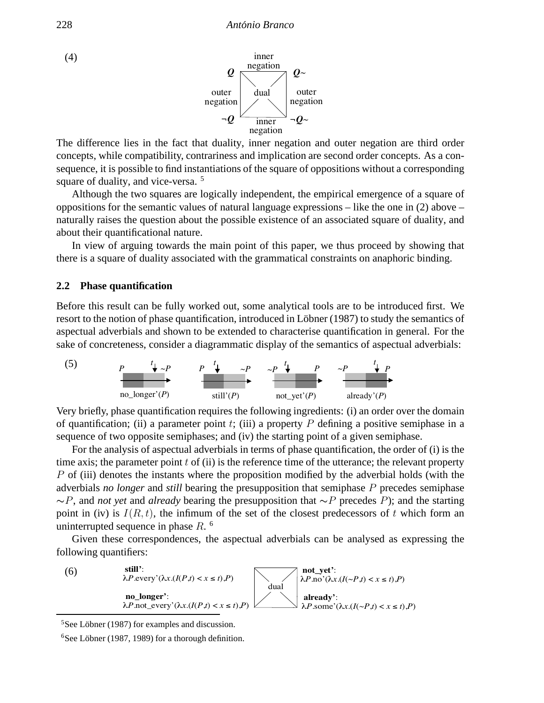



The difference lies in the fact that duality, inner negation and outer negation are third order concepts, while compatibility, contrariness and implication are second order concepts. As a consequence, it is possible to find instantiations of the square of oppositions without a corresponding square of duality, and vice-versa.<sup>5</sup>

Although the two squares are logically independent, the empirical emergence of a square of oppositions for the semantic values of natural language expressions  $-$  like the one in (2) above  $$ naturally raises the question about the possible existence of an associated square of duality, and about their quantificational nature.

In view of arguing towards the main point of this paper, we thus proceed by showing that there is a square of duality associated with the grammatical constraints on anaphoric binding.

#### **2.2 Phase quantification**

Before this result can be fully worked out, some analytical tools are to be introduced first. We resort to the notion of phase quantification, introduced in Löbner (1987) to study the semantics of aspectual adverbials and shown to be extended to characterise quantification in general. For the sake of concreteness, consider a diagrammatic display of the semantics of aspectual adverbials:

(5) 
$$
P
$$
  $t \downarrow \sim P$   $P$   $t \downarrow \sim P$   $\sim P$   $\downarrow \sim P$   $\sim P$   $\downarrow \sim P$   $\sim P$   $\downarrow \sim P$   $\downarrow \sim P$   $\downarrow \sim P$   $\downarrow \sim P$   $\downarrow \sim P$   $\downarrow \sim P$   $\downarrow \sim P$   $\downarrow \sim P$   $\downarrow \sim P$   $\downarrow \sim P$   $\downarrow \sim P$   $\downarrow \sim P$   $\downarrow \sim P$   $\downarrow \sim P$   $\downarrow \sim P$   $\downarrow \sim P$   $\downarrow \sim P$   $\downarrow \sim P$   $\downarrow \sim P$   $\downarrow \sim P$   $\downarrow \sim P$   $\downarrow \sim P$   $\downarrow \sim P$   $\downarrow \sim P$   $\downarrow \sim P$   $\downarrow \sim P$   $\downarrow \sim P$   $\downarrow \sim P$   $\downarrow \sim P$   $\downarrow \sim P$   $\downarrow \sim P$   $\downarrow \sim P$   $\downarrow \sim P$   $\downarrow \sim P$   $\downarrow \sim P$   $\downarrow \sim P$   $\downarrow \sim P$   $\downarrow \sim P$   $\downarrow \sim P$   $\downarrow \sim P$   $\downarrow \sim P$   $\downarrow \sim P$   $\downarrow \sim P$   $\downarrow \sim P$   $\downarrow \sim P$   $\downarrow \sim P$   $\downarrow \sim P$   $\downarrow \sim P$   $\downarrow \sim P$   $\downarrow \sim P$   $\downarrow \sim P$   $\downarrow \sim P$   $\downarrow \sim P$   $\downarrow \sim P$   $\downarrow \sim P$   $\downarrow \sim P$   $\downarrow \sim P$   $\downarrow \sim P$   $\downarrow \sim P$   $\downarrow \sim P$   $\downarrow \sim P$   $\downarrow \sim P$ 

Very briefly, phase quantification requires the following ingredients: (i) an order over the domain of quantification; (ii) a parameter point  $t$ ; (iii) a property  $P$  defining a positive semiphase in a sequence of two opposite semiphases; and (iv) the starting point of a given semiphase.

For the analysis of aspectual adverbials in terms of phase quantification, the order of (i) is the time axis; the parameter point  $t$  of (ii) is the reference time of the utterance; the relevant property  $P$  of (iii) denotes the instants where the proposition modified by the adverbial holds (with the adverbials *no longer* and *still* bearing the presupposition that semiphase P precedes semiphase ∼P, and *not yet* and *already* bearing the presupposition that ∼P precedes P); and the starting point in (iv) is  $I(R, t)$ , the infimum of the set of the closest predecessors of t which form an uninterrupted sequence in phase  $R$ . <sup>6</sup>

Given these correspondences, the aspectual adverbials can be analysed as expressing the following quantifiers:



 $5$ See Löbner (1987) for examples and discussion.

 $6$ See Löbner (1987, 1989) for a thorough definition.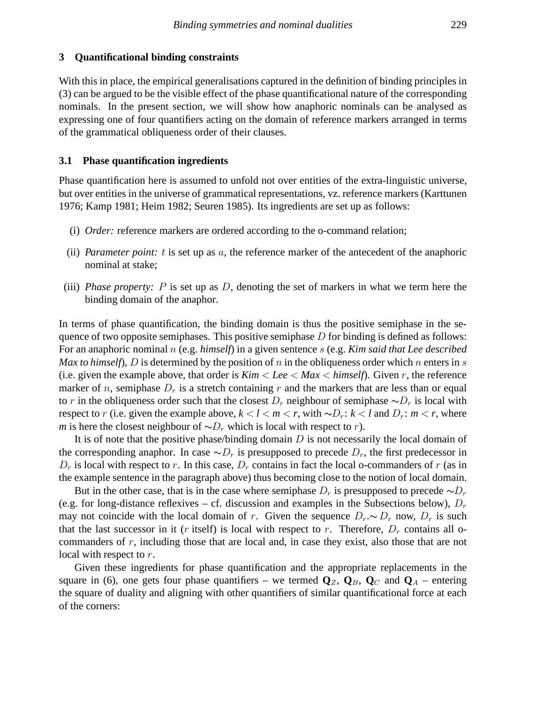#### **3 Quantificational binding constraints**

With this in place, the empirical generalisations captured in the definition of binding principles in (3) can be argued to be the visible effect of the phase quantificational nature of the corresponding nominals. In the present section, we will show how anaphoric nominals can be analysed as expressing one of four quantifiers acting on the domain of reference markers arranged in terms of the grammatical obliqueness order of their clauses.

# **3.1 Phase quantification ingredients**

Phase quantification here is assumed to unfold not over entities of the extra-linguistic universe, but over entities in the universe of grammatical representations, vz. reference markers (Karttunen 1976; Kamp 1981; Heim 1982; Seuren 1985). Its ingredients are set up as follows:

- (i) *Order:* reference markers are ordered according to the o-command relation;
- (ii) *Parameter point:* t is set up as a, the reference marker of the antecedent of the anaphoric nominal at stake;
- (iii) *Phase property:* P is set up as D, denoting the set of markers in what we term here the binding domain of the anaphor.

In terms of phase quantification, the binding domain is thus the positive semiphase in the sequence of two opposite semiphases. This positive semiphase  $D$  for binding is defined as follows: For an anaphoric nominal n (e.g. *himself*) in a given sentence s (e.g. *Kim said that Lee described Max to himself*), D is determined by the position of n in the obliqueness order which n enters in s (i.e. given the example above, that order is  $Kim < Lee < Max < himself$ ). Given r, the reference marker of n, semiphase  $D_r$  is a stretch containing r and the markers that are less than or equal to r in the obliqueness order such that the closest  $D_r$  neighbour of semiphase  $\sim D_r$  is local with respect to r (i.e. given the example above,  $k < l < m < r$ , with ∼ $D_r$ :  $k < l$  and  $D_r$ :  $m < r$ , where *m* is here the closest neighbour of  $\sim D_r$  which is local with respect to r).

It is of note that the positive phase/binding domain  $D$  is not necessarily the local domain of the corresponding anaphor. In case  $\sim D_r$  is presupposed to precede  $D_r$ , the first predecessor in  $D<sub>r</sub>$  is local with respect to r. In this case,  $D<sub>r</sub>$  contains in fact the local o-commanders of r (as in the example sentence in the paragraph above) thus becoming close to the notion of local domain.

But in the other case, that is in the case where semiphase  $D_r$  is presupposed to precede ∼ $D_r$ (e.g. for long-distance reflexives – cf. discussion and examples in the Subsections below),  $D_r$ may not coincide with the local domain of r. Given the sequence  $D_r \sim D_r$  now,  $D_r$  is such that the last successor in it (*r* itself) is local with respect to *r*. Therefore,  $D_r$  contains all ocommanders of r, including those that are local and, in case they exist, also those that are not local with respect to r.

Given these ingredients for phase quantification and the appropriate replacements in the square in (6), one gets four phase quantifiers – we termed  $\mathbf{Q}_Z$ ,  $\mathbf{Q}_B$ ,  $\mathbf{Q}_C$  and  $\mathbf{Q}_A$  – entering the square of duality and aligning with other quantifiers of similar quantificational force at each of the corners: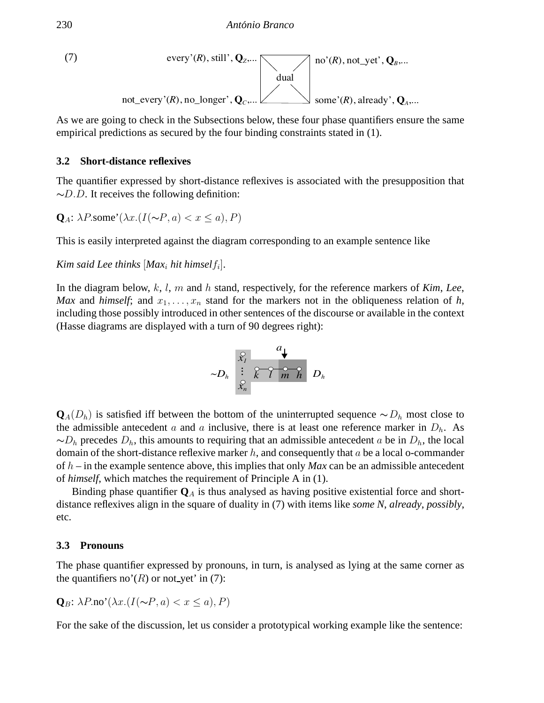$$
(7)
$$

every'(R), still', 
$$
\mathbf{Q}_z
$$
,...  
dual  
not\_events'(R), no longer',  $\mathbf{Q}_c$ ,...  
some'(R), already',  $\mathbf{Q}_A$ ,...

As we are going to check in the Subsections below, these four phase quantifiers ensure the same empirical predictions as secured by the four binding constraints stated in (1).

## **3.2 Short-distance reflexives**

The quantifier expressed by short-distance reflexives is associated with the presupposition that  $\sim D.D$ . It receives the following definition:

$$
\mathbf{Q}_A: \lambda P.\text{some'}(\lambda x. (I(\sim P, a) < x \le a), P)
$$

This is easily interpreted against the diagram corresponding to an example sentence like

*Kim said Lee thinks* [*Max*<sup>i</sup> *hit himsel*f<sup>i</sup> ].

In the diagram below, k, l, m and h stand, respectively, for the reference markers of *Kim*, *Lee*, *Max* and *himself*; and  $x_1, \ldots, x_n$  stand for the markers not in the obliqueness relation of *h*, including those possibly introduced in other sentences of the discourse or available in the context (Hasse diagrams are displayed with a turn of 90 degrees right):

$$
\sim D_h \begin{array}{c} \begin{array}{c} a \\ \downarrow \\ \vdots \\ \downarrow \\ x_n \end{array} & \begin{array}{c} a \\ \downarrow \\ \downarrow \\ \downarrow \end{array} & D_h \end{array}
$$

 $\mathbf{Q}_{A}(D_{h})$  is satisfied iff between the bottom of the uninterrupted sequence ~ $D_{h}$  most close to the admissible antecedent a and a inclusive, there is at least one reference marker in  $D_h$ . As  $\sim D_h$  precedes  $D_h$ , this amounts to requiring that an admissible antecedent a be in  $D_h$ , the local domain of the short-distance reflexive marker  $h$ , and consequently that  $a$  be a local o-commander of h – in the example sentence above, this implies that only *Max* can be an admissible antecedent of *himself*, which matches the requirement of Principle A in (1).

Binding phase quantifier  $\mathbf{Q}_A$  is thus analysed as having positive existential force and shortdistance reflexives align in the square of duality in (7) with items like *some N*, *already*, *possibly*, etc.

## **3.3 Pronouns**

The phase quantifier expressed by pronouns, in turn, is analysed as lying at the same corner as the quantifiers no'(R) or not\_yet' in (7):

$$
\mathbf{Q}_B: \lambda P.\text{no'}(\lambda x.(I(\sim P, a) < x \le a), P)
$$

For the sake of the discussion, let us consider a prototypical working example like the sentence: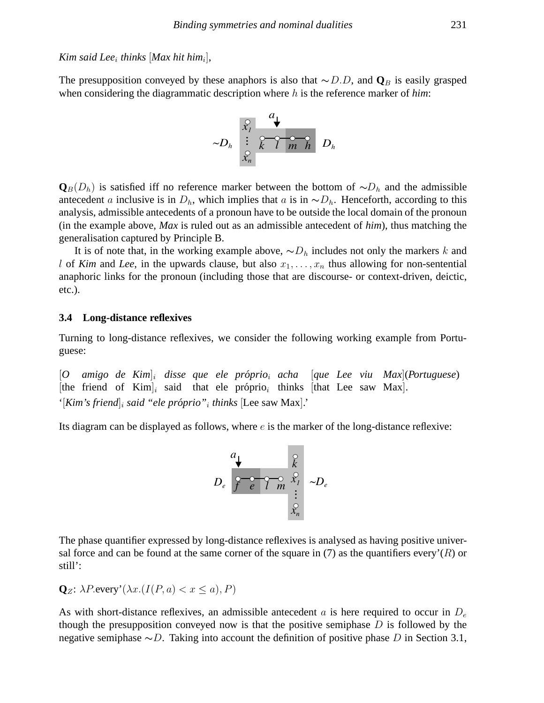*Kim said Lee*<sup>i</sup> *thinks* [*Max hit him*<sup>i</sup> ],

The presupposition conveyed by these anaphors is also that  $\sim D.D$ , and  $\mathbf{Q}_B$  is easily grasped when considering the diagrammatic description where h is the reference marker of *him*:

$$
\sim D_h \begin{array}{c} \begin{array}{c} a_1 \\ \downarrow \\ \downarrow \\ \downarrow \\ x_n \end{array} & \begin{array}{c} a_1 \\ \downarrow \\ \downarrow \\ x_n \end{array} & \begin{array}{c} \downarrow \\ \downarrow \\ \downarrow \\ \downarrow \end{array} & \begin{array}{c} \downarrow \\ \downarrow \\ \downarrow \\ \downarrow \end{array} & D_h \end{array}
$$

 $\mathbf{Q}_B(D_h)$  is satisfied iff no reference marker between the bottom of  $\sim D_h$  and the admissible antecedent a inclusive is in  $D<sub>h</sub>$ , which implies that a is in ∼ $D<sub>h</sub>$ . Henceforth, according to this analysis, admissible antecedents of a pronoun have to be outside the local domain of the pronoun (in the example above, *Max* is ruled out as an admissible antecedent of *him*), thus matching the generalisation captured by Principle B.

It is of note that, in the working example above,  $\sim D_h$  includes not only the markers k and l of *Kim* and *Lee*, in the upwards clause, but also  $x_1, \ldots, x_n$  thus allowing for non-sentential anaphoric links for the pronoun (including those that are discourse- or context-driven, deictic, etc.).

#### **3.4 Long-distance reflexives**

Turning to long-distance reflexives, we consider the following working example from Portuguese:

[*O amigo de Kim*]<sup>i</sup> *disse que ele proprio ´* <sup>i</sup> *acha* [*que Lee viu Max*](*Portuguese*) [the friend of  $Kim$ ]<sub>i</sub> said that ele próprio<sub>i</sub> thinks [that Lee saw Max].  $\cdot$  [*Kim's friend*]<sub>*i*</sub> *said "ele próprio" i thinks* [Lee saw Max].'

Its diagram can be displayed as follows, where  $e$  is the marker of the long-distance reflexive:



The phase quantifier expressed by long-distance reflexives is analysed as having positive universal force and can be found at the same corner of the square in (7) as the quantifiers every'(R) or still':

$$
\mathbf{Q}_Z: \lambda P.\text{every'}(\lambda x. (I(P, a) < x \le a), P)
$$

As with short-distance reflexives, an admissible antecedent a is here required to occur in  $D_e$ though the presupposition conveyed now is that the positive semiphase  $D$  is followed by the negative semiphase ∼D. Taking into account the definition of positive phase D in Section 3.1,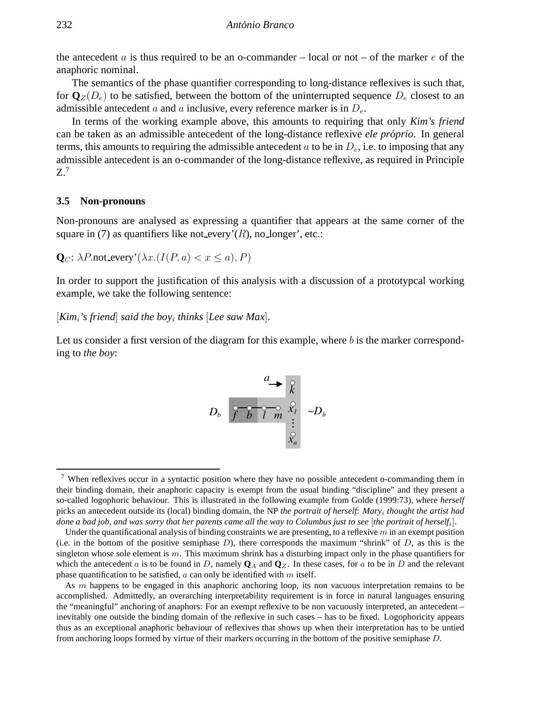the antecedent a is thus required to be an o-commander – local or not – of the marker  $e$  of the anaphoric nominal.

The semantics of the phase quantifier corresponding to long-distance reflexives is such that, for  $\mathbf{Q}_z(D_e)$  to be satisfied, between the bottom of the uninterrupted sequence  $D_e$  closest to an admissible antecedent a and a inclusive, every reference marker is in  $D_e$ .

In terms of the working example above, this amounts to requiring that only *Kim's friend* can be taken as an admissible antecedent of the long-distance reflexive *ele proprio ´* . In general terms, this amounts to requiring the admissible antecedent a to be in  $D_e$ , i.e. to imposing that any admissible antecedent is an o-commander of the long-distance reflexive, as required in Principle  $Z^7$ 

# **3.5 Non-pronouns**

Non-pronouns are analysed as expressing a quantifier that appears at the same corner of the square in (7) as quantifiers like not every' $(R)$ , no longer', etc.:

**Q**<sub>C</sub>:  $\lambda$ P.not\_every' $(\lambda x.(I(P, a) < x \le a), P)$ 

In order to support the justification of this analysis with a discussion of a prototypcal working example, we take the following sentence:

```
[Kimi's friend] said the boyi
thinks [Lee saw Max].
```
Let us consider a first version of the diagram for this example, where b is the marker corresponding to *the boy*:

$$
D_b \quad \overbrace{\phantom{a}\qquad \qquad }^{G} \overbrace{\phantom{a}\qquad \qquad }^{G} \overbrace{\phantom{a}\qquad \qquad }^{G} \overbrace{\phantom{a}\qquad \qquad }^{G} \overbrace{\phantom{a}\qquad \qquad }^{G} \overbrace{\phantom{a}\qquad \qquad }^{G} \overbrace{\phantom{a}\qquad \qquad }^{G} \overbrace{\phantom{a}\qquad \qquad }^{G} \overbrace{\phantom{a}\qquad \qquad }^{G} \overbrace{\phantom{a}\qquad \qquad }^{G} \overbrace{\phantom{a}\qquad \qquad }^{G} \overbrace{\phantom{a}\qquad \qquad }^{G} \overbrace{\phantom{a}\qquad \qquad }^{G} \overbrace{\phantom{a}\qquad \qquad }^{G} \overbrace{\phantom{a}\qquad \qquad }^{G} \overbrace{\phantom{a}\qquad \qquad }^{G} \overbrace{\phantom{a}\qquad \qquad }^{G} \overbrace{\phantom{a}\qquad \qquad }^{G} \overbrace{\phantom{a}\qquad \qquad }^{G} \overbrace{\phantom{a}\qquad \qquad }^{G} \overbrace{\phantom{a}\qquad \qquad }^{G} \overbrace{\phantom{a}\qquad \qquad }^{G} \overbrace{\phantom{a}\qquad \qquad }^{G} \overbrace{\phantom{a}\qquad \qquad }^{G} \overbrace{\phantom{a}\qquad \qquad }^{G} \overbrace{\phantom{a}\qquad \qquad }^{G} \overbrace{\phantom{a}\qquad \qquad }^{G} \overbrace{\phantom{a}\qquad \qquad }^{G} \overbrace{\phantom{a}\qquad \qquad }^{G} \overbrace{\phantom{a}\qquad \qquad }^{G} \overbrace{\phantom{a}\qquad \qquad }^{G} \overbrace{\phantom{a}\qquad \qquad }^{G} \overbrace{\phantom{a}\qquad \qquad }^{G} \overbrace{\phantom{a}\qquad \qquad }^{G} \overbrace{\phantom{a}\qquad \qquad }^{G} \overbrace{\phantom{a}\qquad \qquad }^{G} \overbrace{\phantom{a}\qquad \qquad }^{G} \overbrace{\phantom{a}\qquad \qquad }^{G} \overbrace{\phantom{a}\qquad \qquad }^{G} \overbrace{\phantom{a}\qquad \qquad }^{G} \overbrace{\phantom{a}\qquad \qquad }^{G} \overbrace{\phantom{a}\qquad \qquad }^{G
$$

As m happens to be engaged in this anaphoric anchoring loop, its non vacuous interpretation remains to be accomplished. Admittedly, an overarching interpretability requirement is in force in natural languages ensuring the "meaningful" anchoring of anaphors: For an exempt reflexive to be non vacuously interpreted, an antecedent – inevitably one outside the binding domain of the reflexive in such cases – has to be fixed. Logophoricity appears thus as an exceptional anaphoric behaviour of reflexives that shows up when their interpretation has to be untied from anchoring loops formed by virtue of their markers occurring in the bottom of the positive semiphase D.

<sup>7</sup> When reflexives occur in a syntactic position where they have no possible antecedent o-commanding them in their binding domain, their anaphoric capacity is exempt from the usual binding "discipline" and they present a so-called logophoric behaviour. This is illustrated in the following example from Golde (1999:73), where *herself* picks an antecedent outside its (local) binding domain, the NP *the portrait of herself*: *Mary*<sup>i</sup> *thought the artist had done a bad job, and was sorry that her parents came all the way to Columbus just to see* [*the portrait of herself*<sup>i</sup> ].

Under the quantificational analysis of binding constraints we are presenting, to a reflexive  $m$  in an exempt position (i.e. in the bottom of the positive semiphase D), there corresponds the maximum "shrink" of D, as this is the singleton whose sole element is  $m$ . This maximum shrink has a disturbing impact only in the phase quantifiers for which the antecedent a is to be found in D, namely  $\mathbf{Q}_A$  and  $\mathbf{Q}_Z$ . In these cases, for a to be in D and the relevant phase quantification to be satisfied,  $a$  can only be identified with  $m$  itself.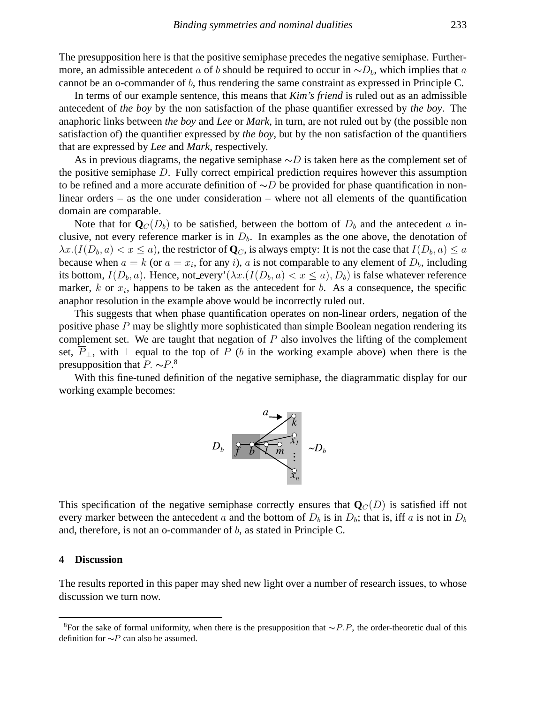The presupposition here is that the positive semiphase precedes the negative semiphase. Furthermore, an admissible antecedent a of b should be required to occur in  $\sim D_b$ , which implies that a cannot be an o-commander of b, thus rendering the same constraint as expressed in Principle C.

In terms of our example sentence, this means that *Kim's friend* is ruled out as an admissible antecedent of *the boy* by the non satisfaction of the phase quantifier exressed by *the boy*. The anaphoric links between *the boy* and *Lee* or *Mark*, in turn, are not ruled out by (the possible non satisfaction of) the quantifier expressed by *the boy*, but by the non satisfaction of the quantifiers that are expressed by *Lee* and *Mark*, respectively.

As in previous diagrams, the negative semiphase  $\sim D$  is taken here as the complement set of the positive semiphase  $D$ . Fully correct empirical prediction requires however this assumption to be refined and a more accurate definition of  $\sim D$  be provided for phase quantification in nonlinear orders – as the one under consideration – where not all elements of the quantification domain are comparable.

Note that for  $\mathbf{Q}_C(D_b)$  to be satisfied, between the bottom of  $D_b$  and the antecedent a inclusive, not every reference marker is in  $D<sub>b</sub>$ . In examples as the one above, the denotation of  $\lambda x.(I(D_b, a) < x \le a)$ , the restrictor of  $\mathbf{Q}_C$ , is always empty: It is not the case that  $I(D_b, a) \le a$ because when  $a = k$  (or  $a = x_i$ , for any i), a is not comparable to any element of  $D_b$ , including its bottom,  $I(D_b, a)$ . Hence, not every' $(\lambda x. (I(D_b, a) < x \le a), D_b)$  is false whatever reference marker,  $k$  or  $x_i$ , happens to be taken as the antecedent for  $b$ . As a consequence, the specific anaphor resolution in the example above would be incorrectly ruled out.

This suggests that when phase quantification operates on non-linear orders, negation of the positive phase P may be slightly more sophisticated than simple Boolean negation rendering its complement set. We are taught that negation of  $P$  also involves the lifting of the complement set,  $\overline{P}_\perp$ , with  $\perp$  equal to the top of P (b in the working example above) when there is the presupposition that  $P \sim P$ .<sup>8</sup>

With this fine-tuned definition of the negative semiphase, the diagrammatic display for our working example becomes:



This specification of the negative semiphase correctly ensures that  $\mathbf{Q}_C(D)$  is satisfied iff not every marker between the antecedent a and the bottom of  $D_b$  is in  $D_b$ ; that is, iff a is not in  $D_b$ and, therefore, is not an o-commander of b, as stated in Principle C.

#### **4 Discussion**

The results reported in this paper may shed new light over a number of research issues, to whose discussion we turn now.

<sup>&</sup>lt;sup>8</sup>For the sake of formal uniformity, when there is the presupposition that ∼P.P, the order-theoretic dual of this definition for ∼P can also be assumed.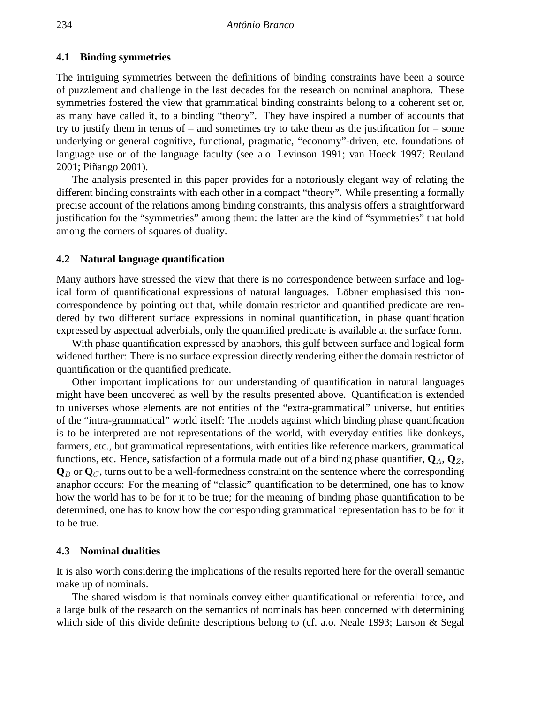## **4.1 Binding symmetries**

The intriguing symmetries between the definitions of binding constraints have been a source of puzzlement and challenge in the last decades for the research on nominal anaphora. These symmetries fostered the view that grammatical binding constraints belong to a coherent set or, as many have called it, to a binding "theory". They have inspired a number of accounts that try to justify them in terms of – and sometimes try to take them as the justification for – some underlying or general cognitive, functional, pragmatic, "economy"-driven, etc. foundations of language use or of the language faculty (see a.o. Levinson 1991; van Hoeck 1997; Reuland 2001; Piñango 2001).

The analysis presented in this paper provides for a notoriously elegant way of relating the different binding constraints with each other in a compact "theory". While presenting a formally precise account of the relations among binding constraints, this analysis offers a straightforward justification for the "symmetries" among them: the latter are the kind of "symmetries" that hold among the corners of squares of duality.

#### **4.2 Natural language quantification**

Many authors have stressed the view that there is no correspondence between surface and logical form of quantificational expressions of natural languages. Löbner emphasised this noncorrespondence by pointing out that, while domain restrictor and quantified predicate are rendered by two different surface expressions in nominal quantification, in phase quantification expressed by aspectual adverbials, only the quantified predicate is available at the surface form.

With phase quantification expressed by anaphors, this gulf between surface and logical form widened further: There is no surface expression directly rendering either the domain restrictor of quantification or the quantified predicate.

Other important implications for our understanding of quantification in natural languages might have been uncovered as well by the results presented above. Quantification is extended to universes whose elements are not entities of the "extra-grammatical" universe, but entities of the "intra-grammatical" world itself: The models against which binding phase quantification is to be interpreted are not representations of the world, with everyday entities like donkeys, farmers, etc., but grammatical representations, with entities like reference markers, grammatical functions, etc. Hence, satisfaction of a formula made out of a binding phase quantifier,  $\mathbf{Q}_A$ ,  $\mathbf{Q}_Z$ ,  $\mathbf{Q}_B$  or  $\mathbf{Q}_C$ , turns out to be a well-formedness constraint on the sentence where the corresponding anaphor occurs: For the meaning of "classic" quantification to be determined, one has to know how the world has to be for it to be true; for the meaning of binding phase quantification to be determined, one has to know how the corresponding grammatical representation has to be for it to be true.

## **4.3 Nominal dualities**

It is also worth considering the implications of the results reported here for the overall semantic make up of nominals.

The shared wisdom is that nominals convey either quantificational or referential force, and a large bulk of the research on the semantics of nominals has been concerned with determining which side of this divide definite descriptions belong to (cf. a.o. Neale 1993; Larson & Segal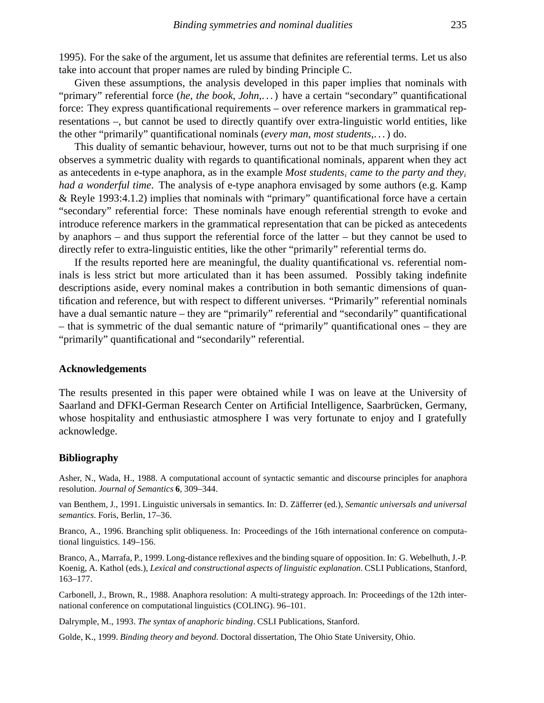1995). For the sake of the argument, let us assume that definites are referential terms. Let us also take into account that proper names are ruled by binding Principle C.

Given these assumptions, the analysis developed in this paper implies that nominals with "primary" referential force (*he*, *the book*, *John*,. . . ) have a certain "secondary" quantificational force: They express quantificational requirements – over reference markers in grammatical representations –, but cannot be used to directly quantify over extra-linguistic world entities, like the other "primarily" quantificational nominals (*every man*, *most students*,. . . ) do.

This duality of semantic behaviour, however, turns out not to be that much surprising if one observes a symmetric duality with regards to quantificational nominals, apparent when they act as antecedents in e-type anaphora, as in the example *Most students*<sup>i</sup> *came to the party and they*<sup>i</sup> *had a wonderful time*. The analysis of e-type anaphora envisaged by some authors (e.g. Kamp & Reyle 1993:4.1.2) implies that nominals with "primary" quantificational force have a certain "secondary" referential force: These nominals have enough referential strength to evoke and introduce reference markers in the grammatical representation that can be picked as antecedents by anaphors – and thus support the referential force of the latter – but they cannot be used to directly refer to extra-linguistic entities, like the other "primarily" referential terms do.

If the results reported here are meaningful, the duality quantificational vs. referential nominals is less strict but more articulated than it has been assumed. Possibly taking indefinite descriptions aside, every nominal makes a contribution in both semantic dimensions of quantification and reference, but with respect to different universes. "Primarily" referential nominals have a dual semantic nature – they are "primarily" referential and "secondarily" quantificational – that is symmetric of the dual semantic nature of "primarily" quantificational ones – they are "primarily" quantificational and "secondarily" referential.

#### **Acknowledgements**

The results presented in this paper were obtained while I was on leave at the University of Saarland and DFKI-German Research Center on Artificial Intelligence, Saarbrücken, Germany, whose hospitality and enthusiastic atmosphere I was very fortunate to enjoy and I gratefully acknowledge.

#### **Bibliography**

Asher, N., Wada, H., 1988. A computational account of syntactic semantic and discourse principles for anaphora resolution. *Journal of Semantics* **6**, 309–344.

van Benthem, J., 1991. Linguistic universals in semantics. In: D. Zäfferrer (ed.), *Semantic universals and universal semantics*. Foris, Berlin, 17–36.

Branco, A., 1996. Branching split obliqueness. In: Proceedings of the 16th international conference on computational linguistics. 149–156.

Branco, A., Marrafa, P., 1999. Long-distance reflexives and the binding square of opposition. In: G. Webelhuth, J.-P. Koenig, A. Kathol (eds.), *Lexical and constructional aspects of linguistic explanation*. CSLI Publications, Stanford, 163–177.

Carbonell, J., Brown, R., 1988. Anaphora resolution: A multi-strategy approach. In: Proceedings of the 12th international conference on computational linguistics (COLING). 96–101.

Dalrymple, M., 1993. *The syntax of anaphoric binding*. CSLI Publications, Stanford.

Golde, K., 1999. *Binding theory and beyond*. Doctoral dissertation, The Ohio State University, Ohio.